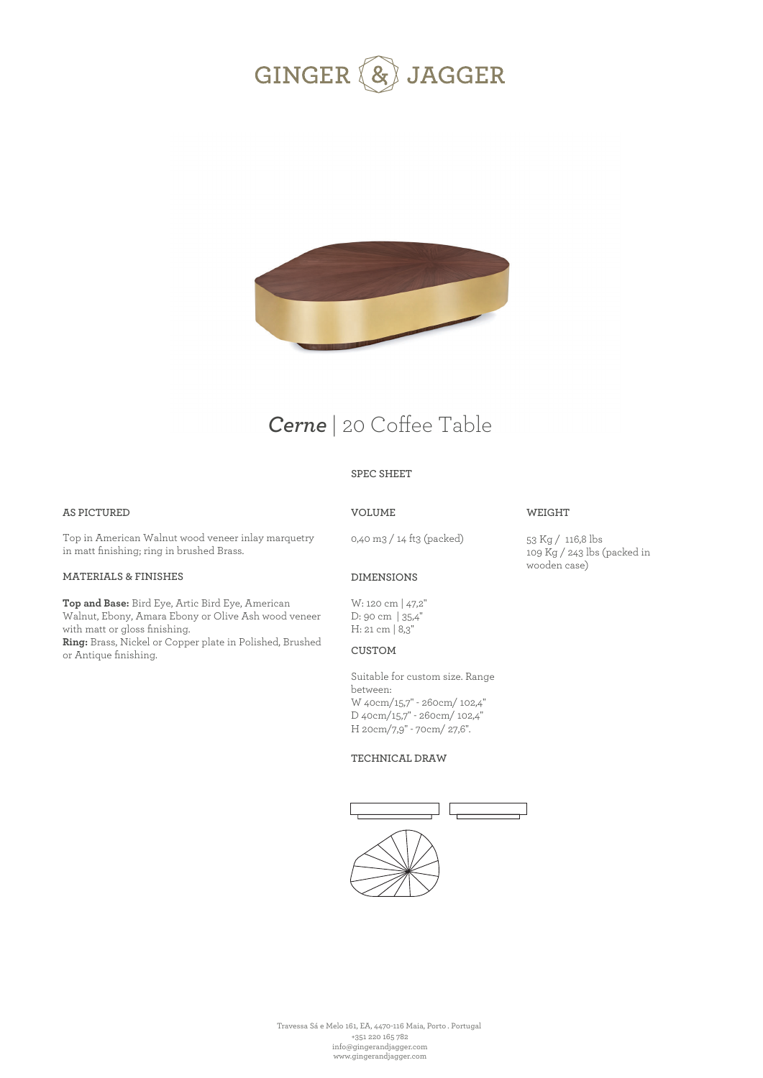



# *Cerne* | 20 Coffee Table

### **SPEC SHEET**

### **AS PICTURED**

**VOLUME**

Top in American Walnut wood veneer inlay marquetry in matt finishing; ring in brushed Brass.

#### **MATERIALS & FINISHES**

**Top and Base:** Bird Eye, Artic Bird Eye, American Walnut, Ebony, Amara Ebony or Olive Ash wood veneer with matt or gloss finishing. **Ring:** Brass, Nickel or Copper plate in Polished, Brushed or Antique finishing.

### 0,40 m3 / 14 ft3 (packed)

## 53 Kg / 116,8 lbs

**WEIGHT** 

109 Kg / 243 lbs (packed in wooden case)

### **DIMENSIONS**

W: 120 cm | 47,2'' D: 90 cm | 35,4'' H: 21 cm | 8,3''

### **CUSTOM**

Suitable for custom size. Range between: W 40cm/15,7" - 260cm/ 102,4" D 40cm/15,7" - 260cm/ 102,4" H 20cm/7,9" - 70cm/ 27,6".

#### **TECHNICAL DRAW**